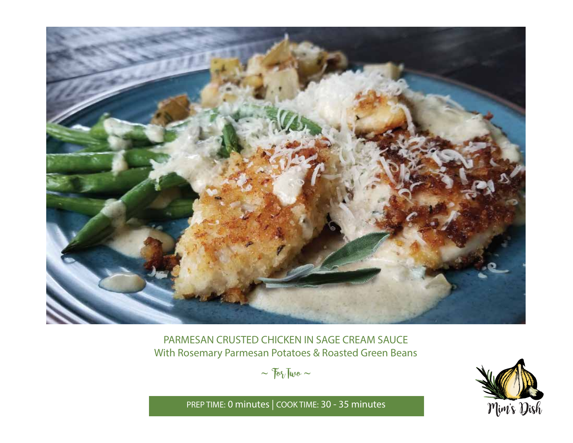

PARMESAN CRUSTED CHICKEN IN SAGE CREAM SAUCE With Rosemary Parmesan Potatoes & Roasted Green Beans

 $\sim$   $70\%$  Two  $\sim$ 



PREP TIME: **0 minutes** | COOK TIME: **30 - 35 minutes**